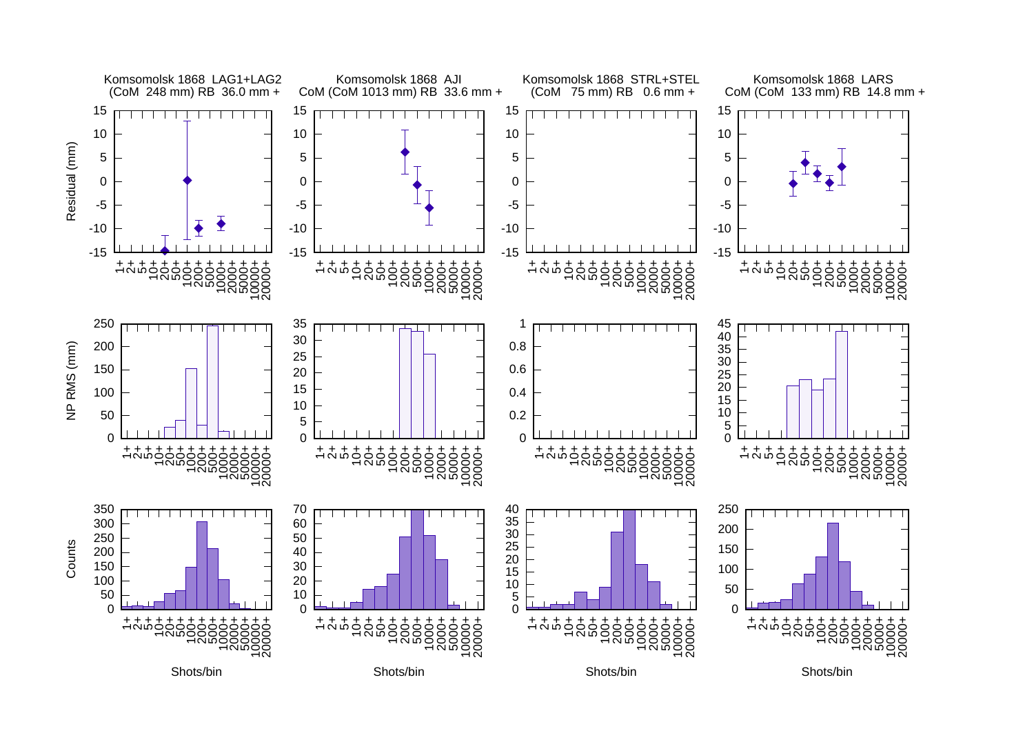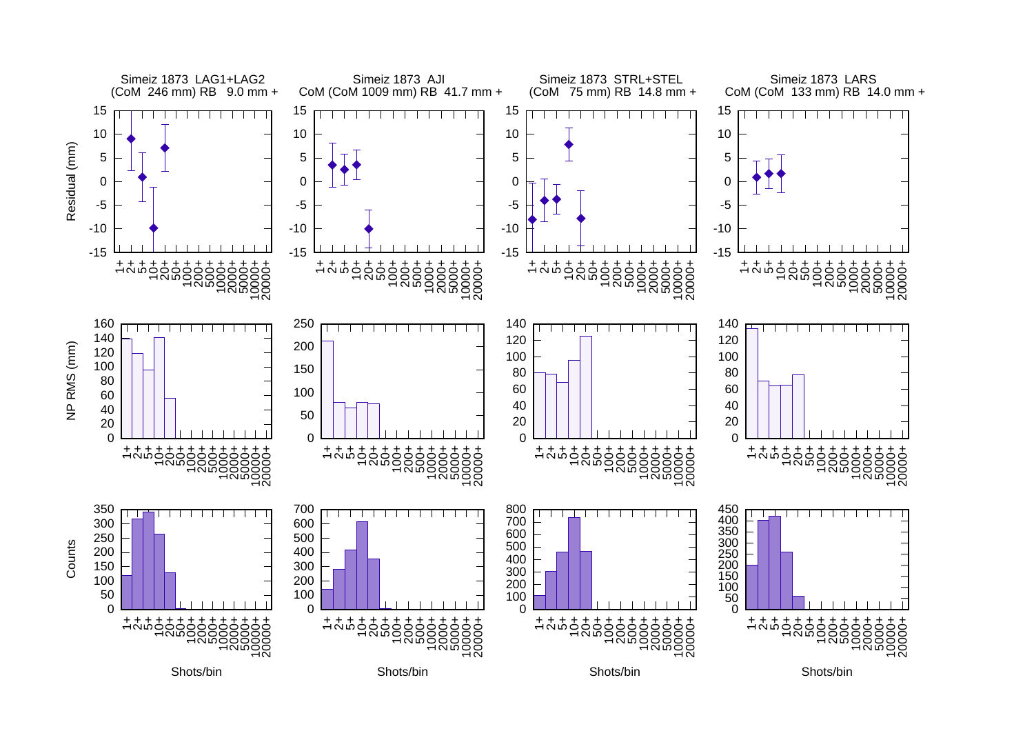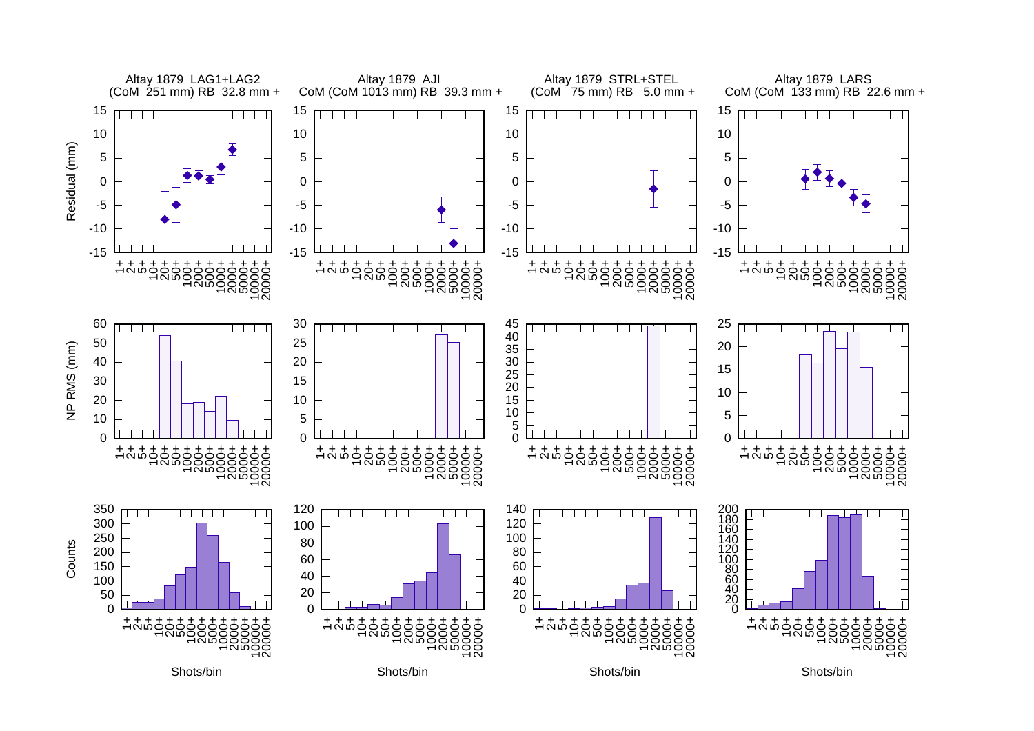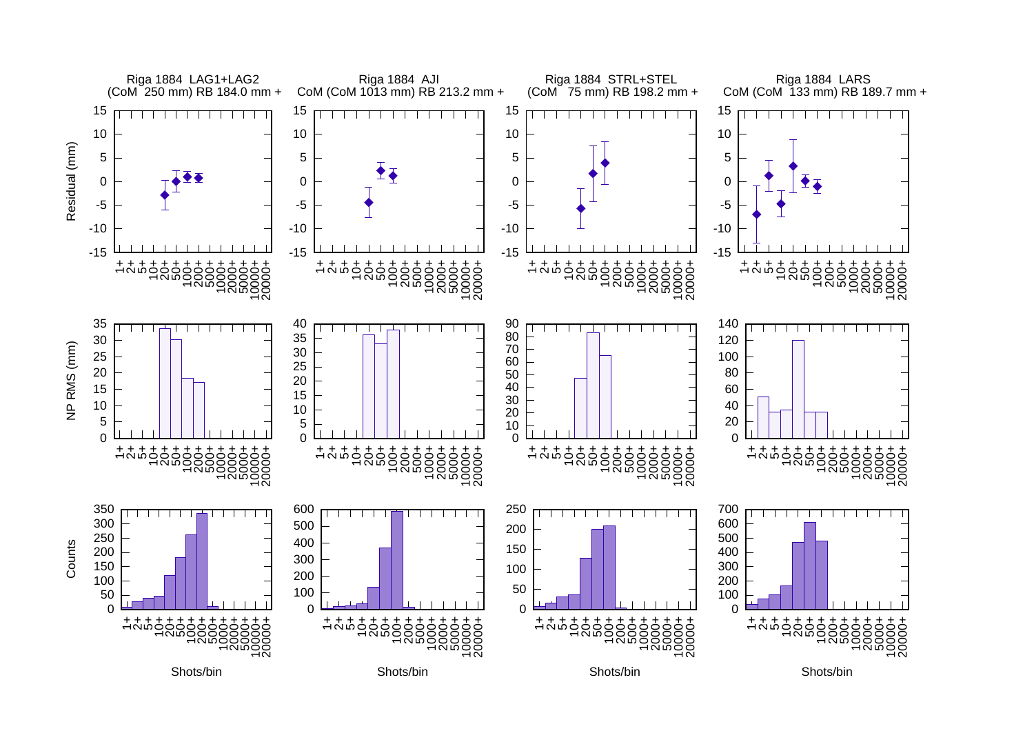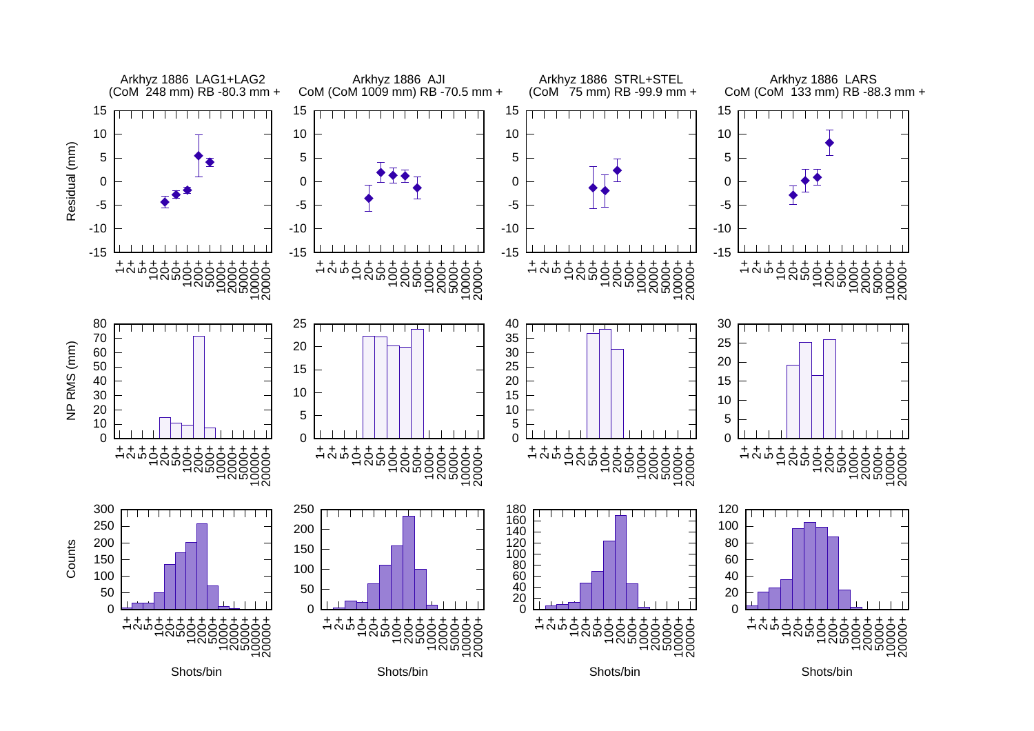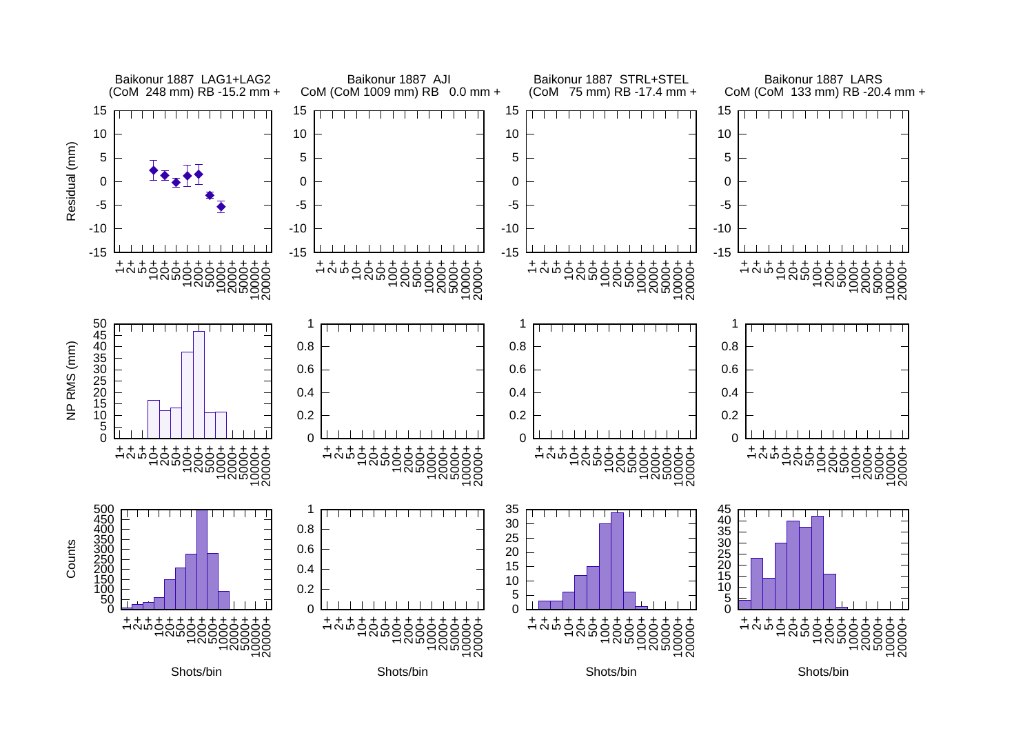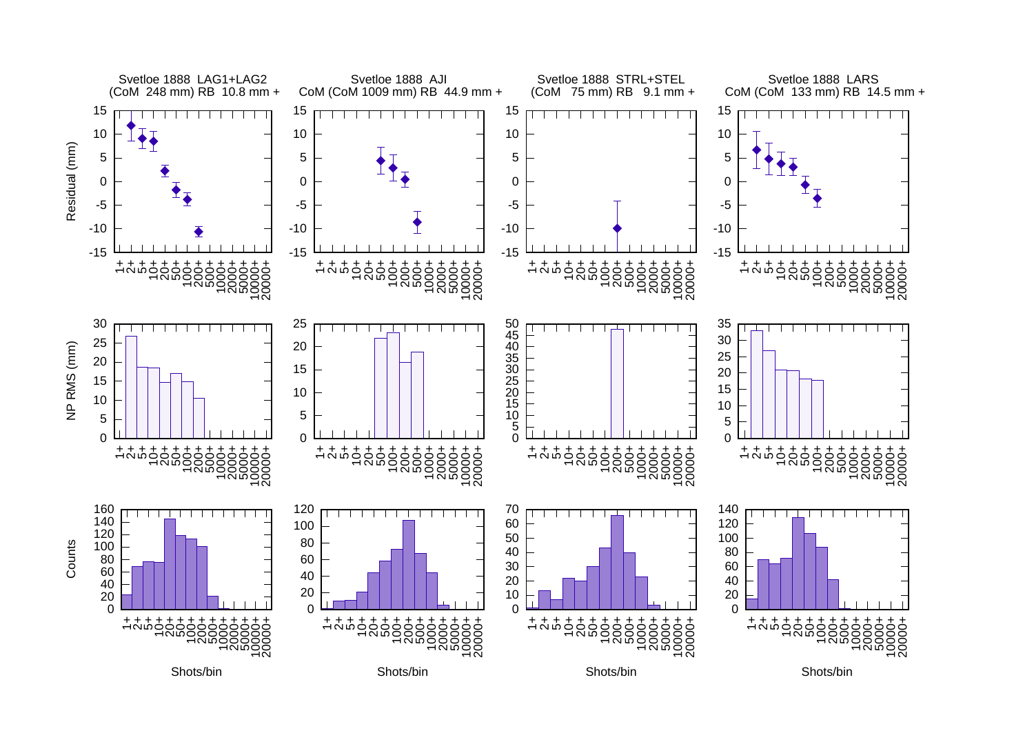![](_page_6_Figure_0.jpeg)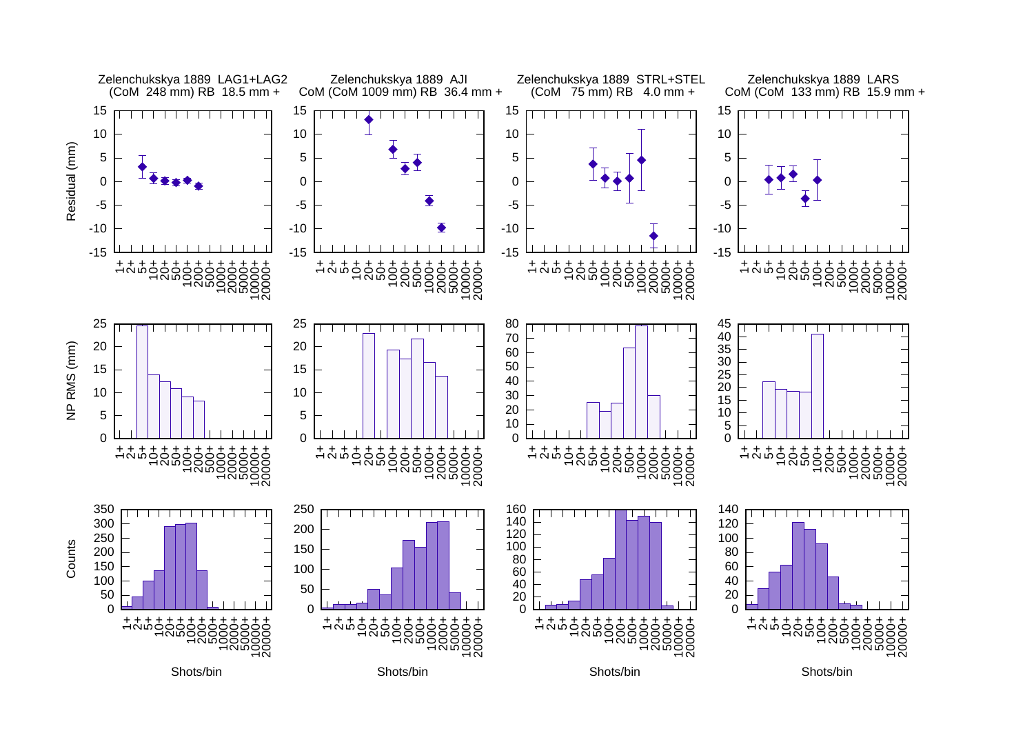![](_page_7_Figure_0.jpeg)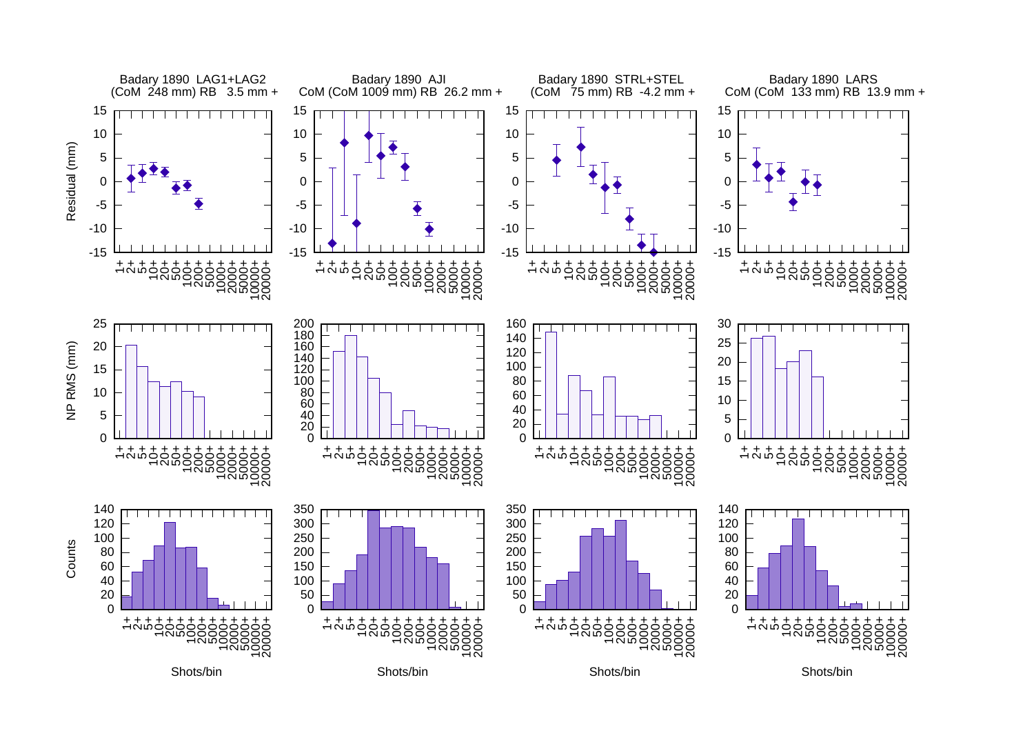![](_page_8_Figure_0.jpeg)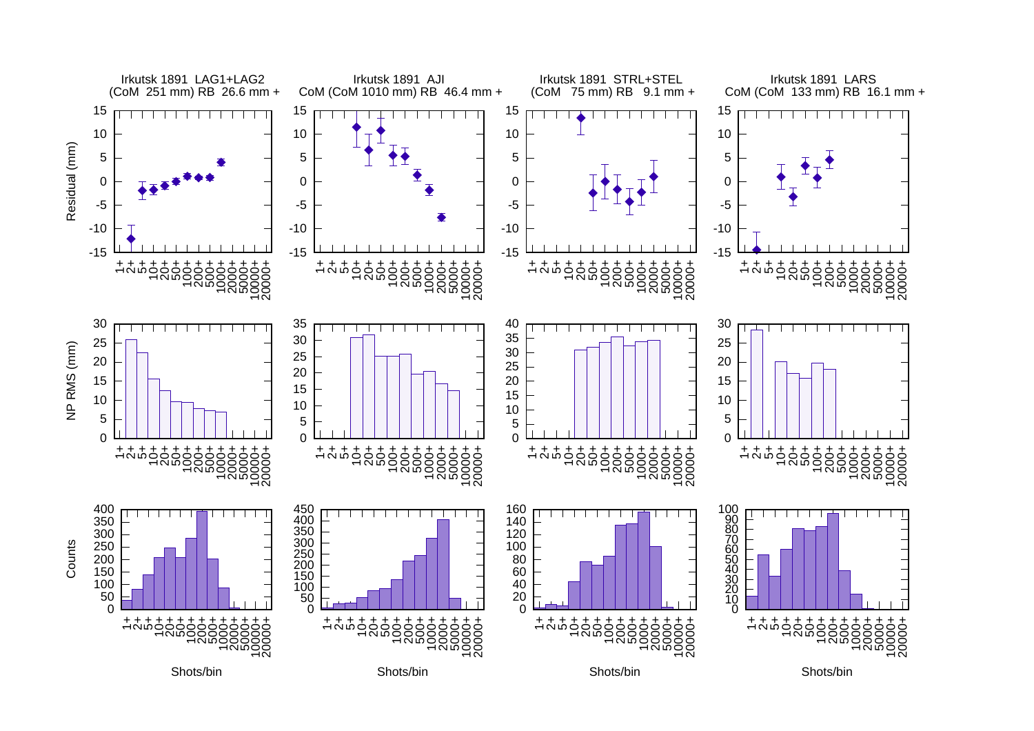![](_page_9_Figure_0.jpeg)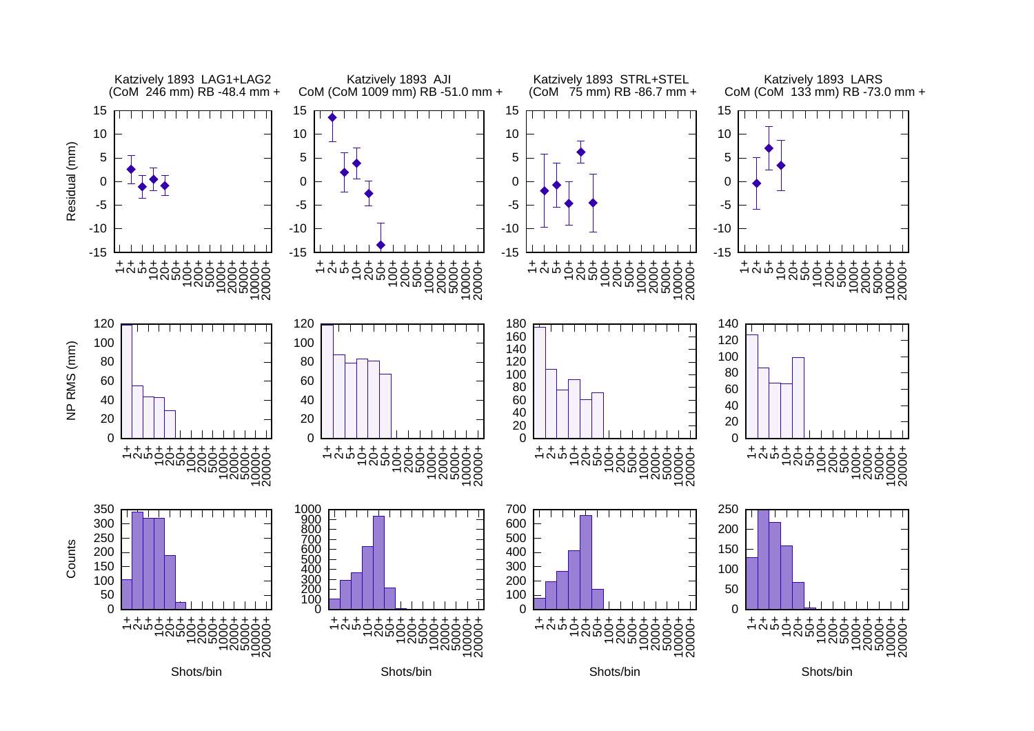![](_page_10_Figure_0.jpeg)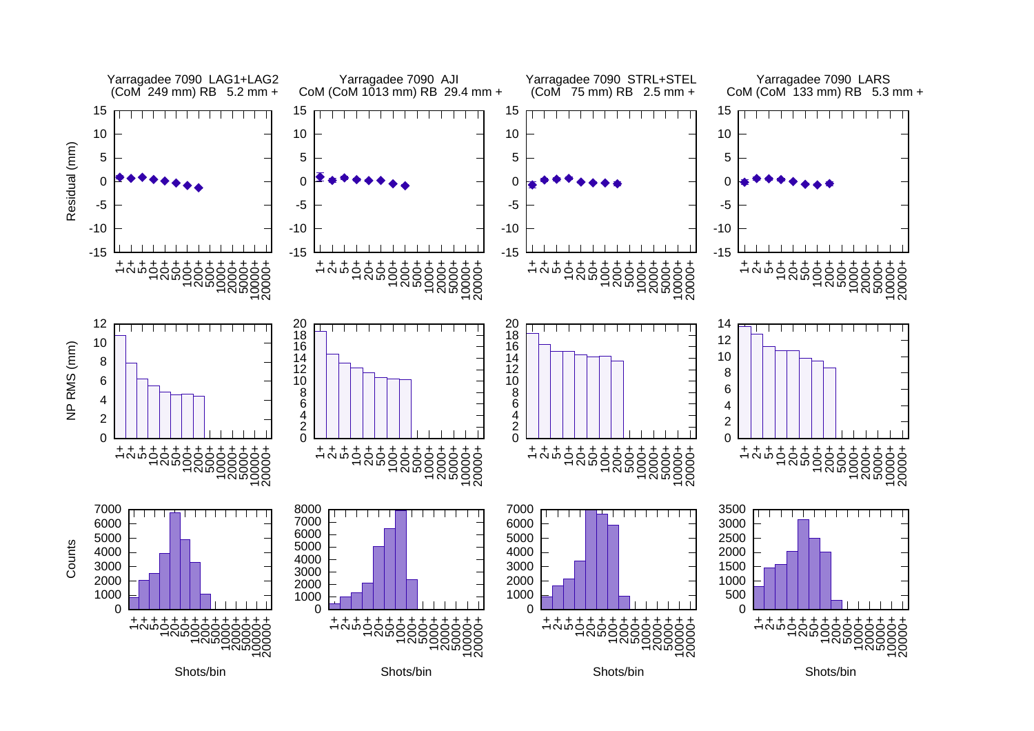![](_page_11_Figure_0.jpeg)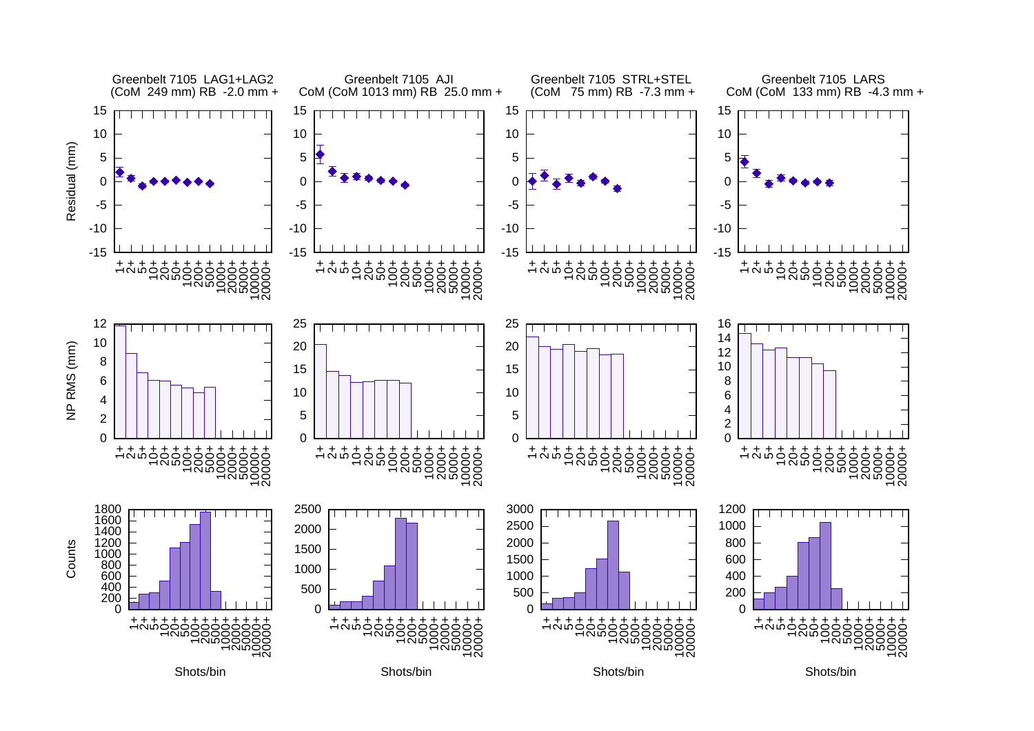![](_page_12_Figure_0.jpeg)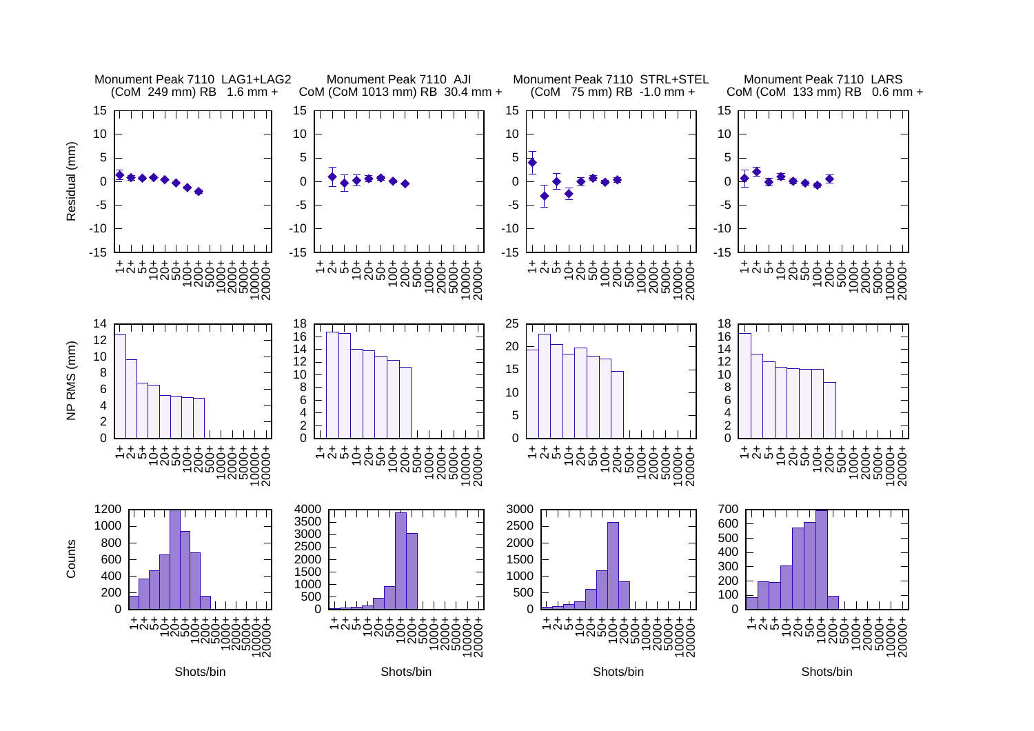![](_page_13_Figure_0.jpeg)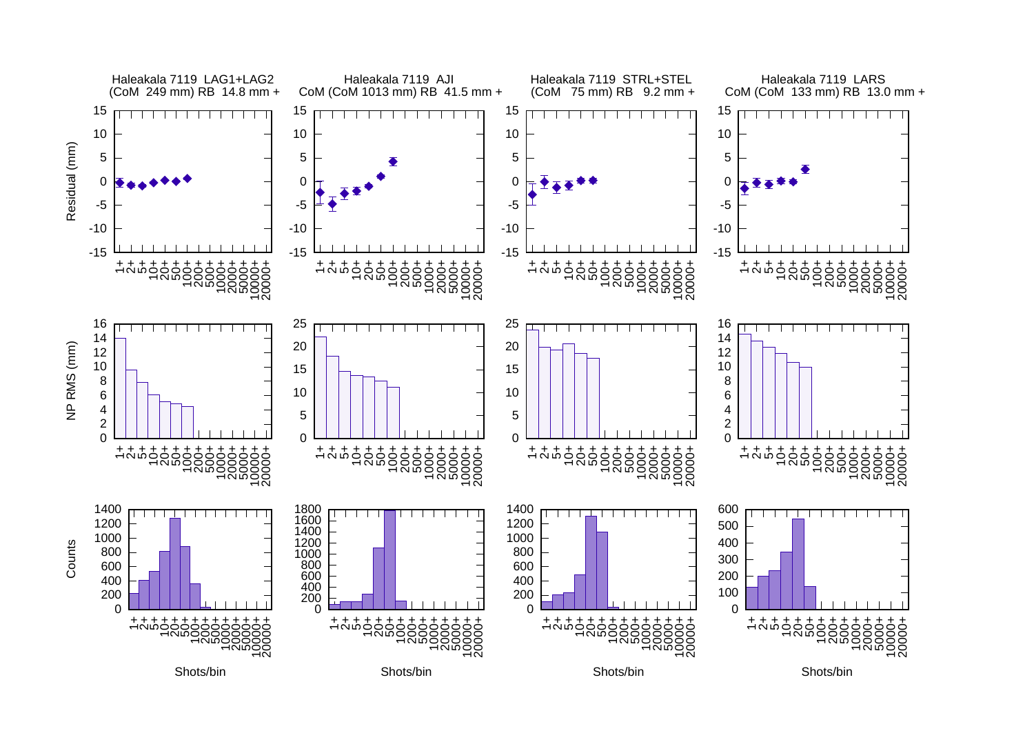![](_page_14_Figure_0.jpeg)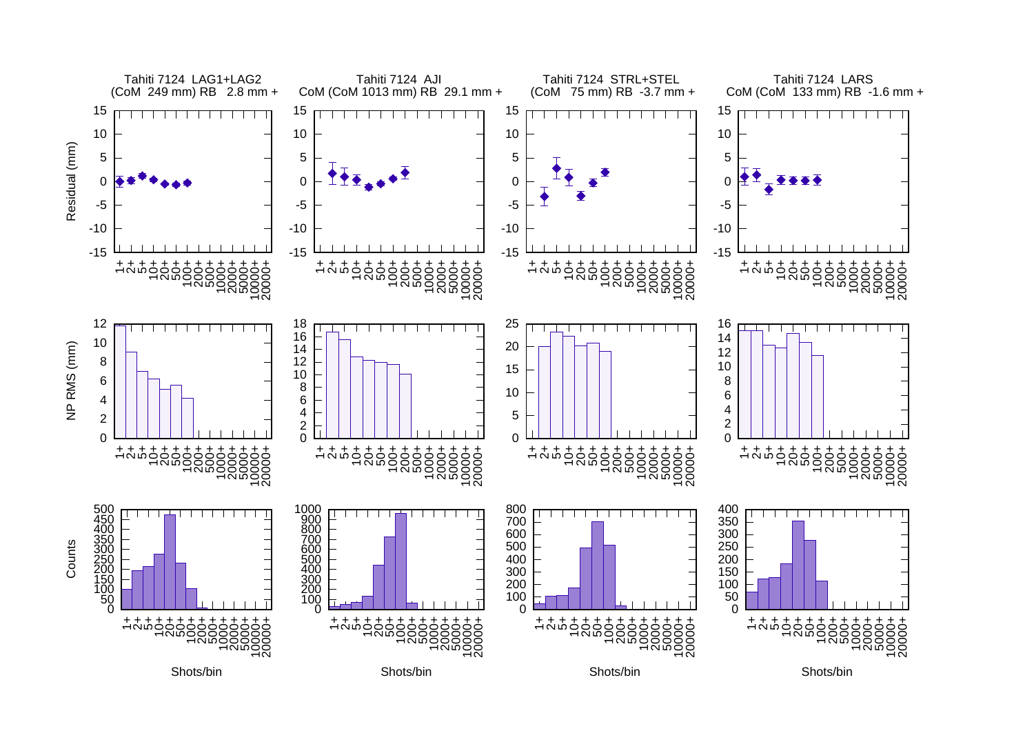![](_page_15_Figure_0.jpeg)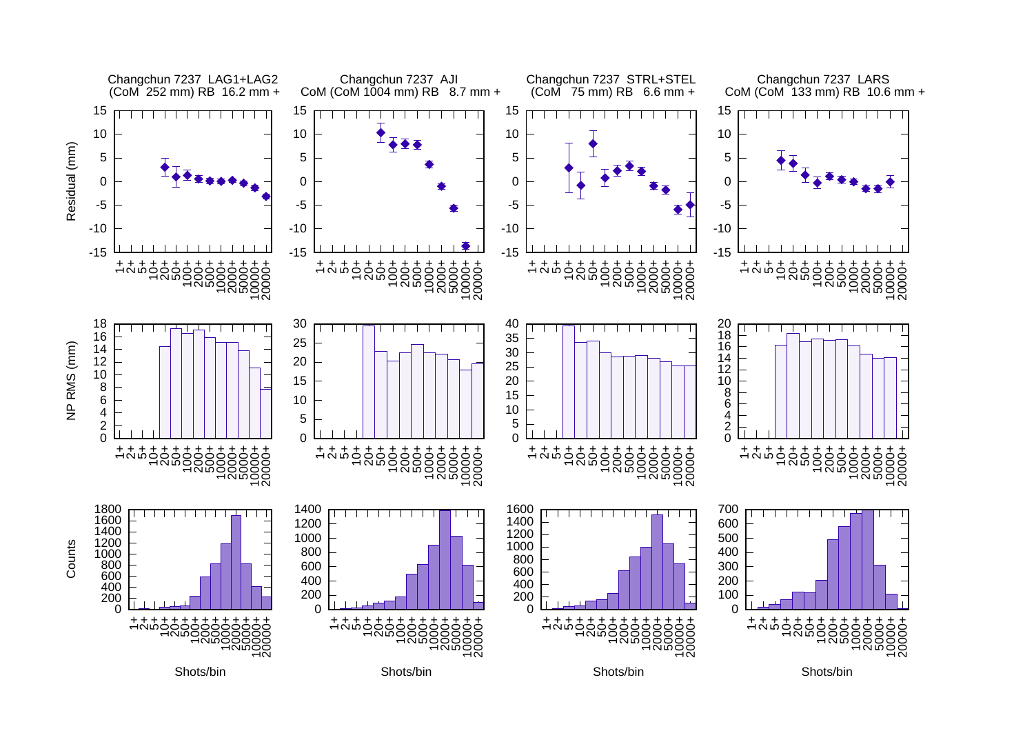![](_page_16_Figure_0.jpeg)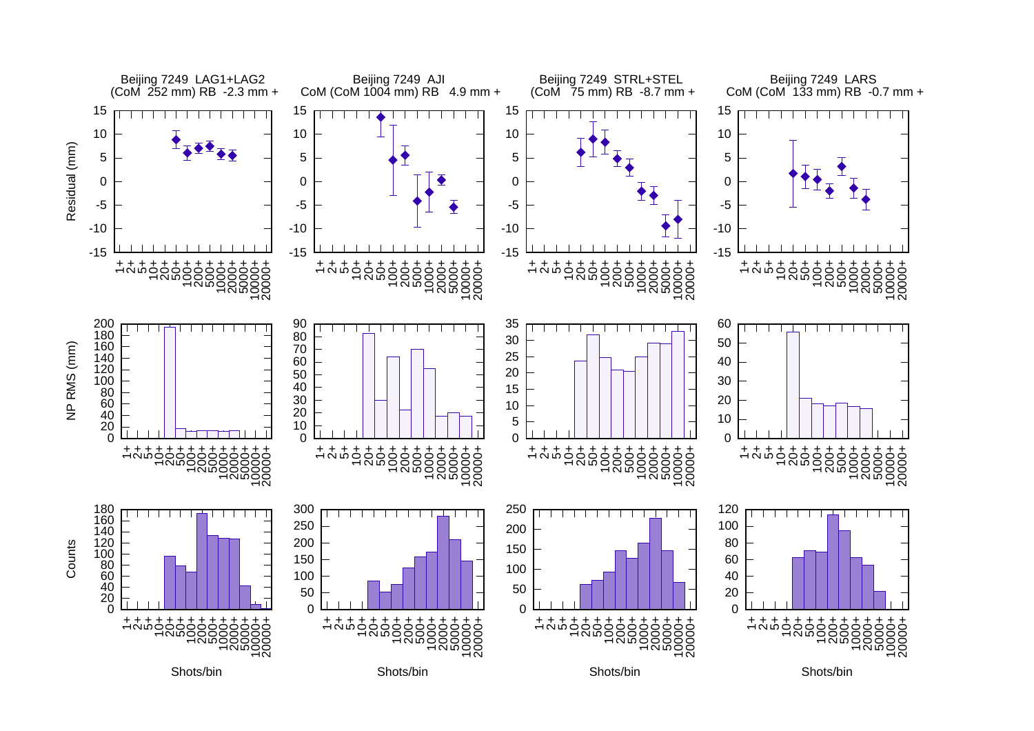![](_page_17_Figure_0.jpeg)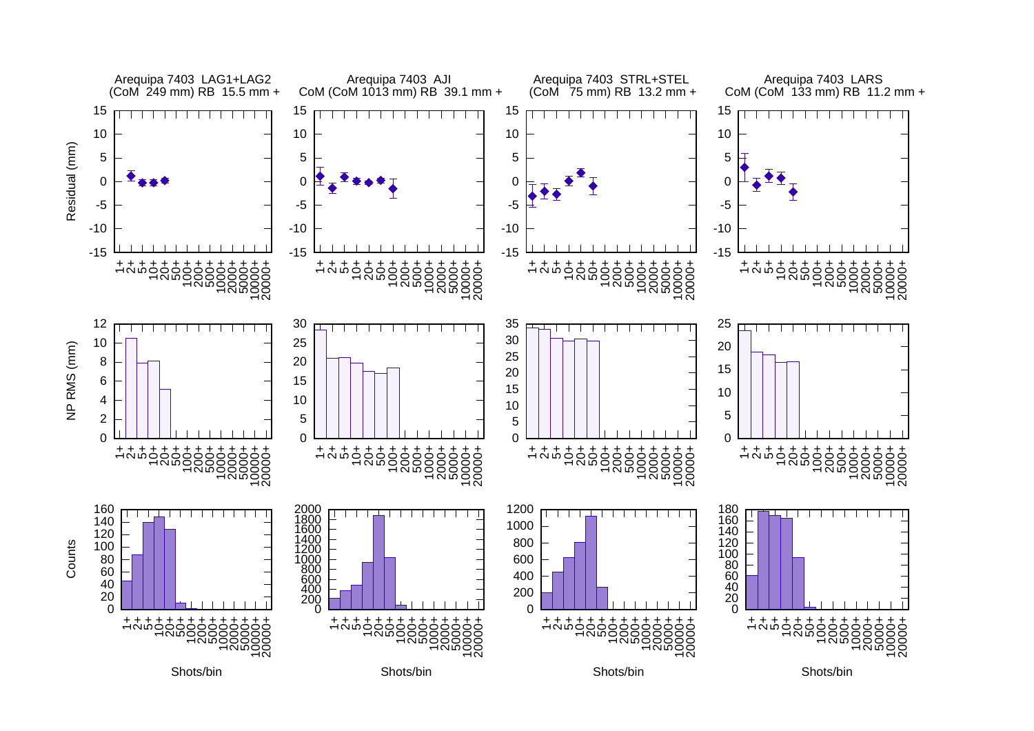![](_page_18_Figure_0.jpeg)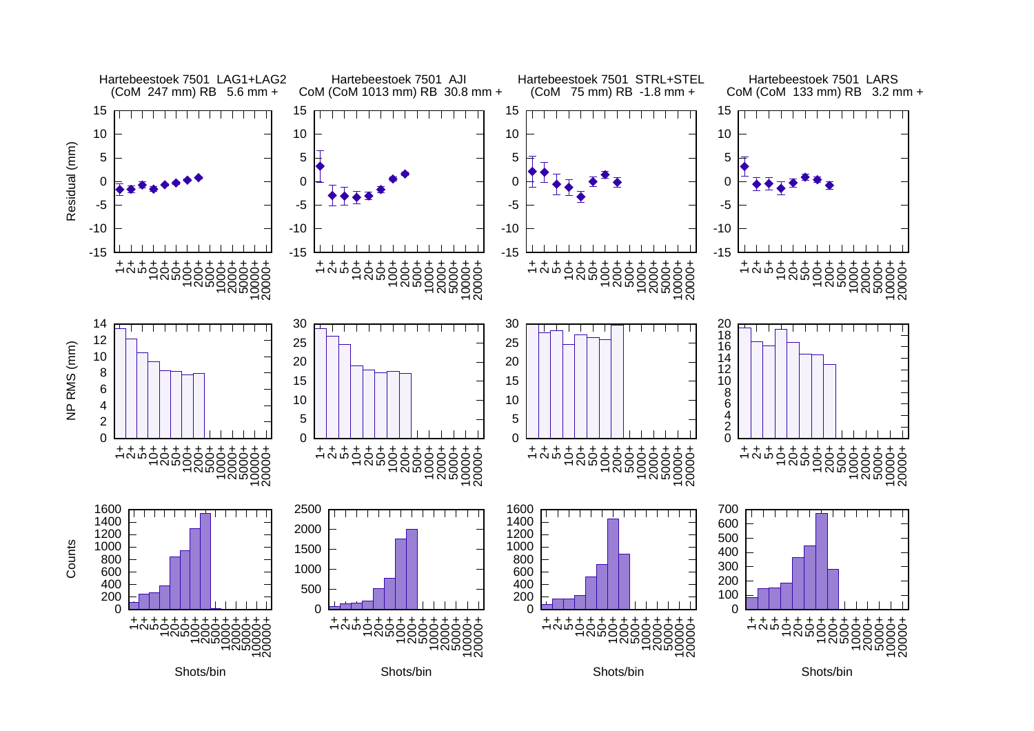![](_page_19_Figure_0.jpeg)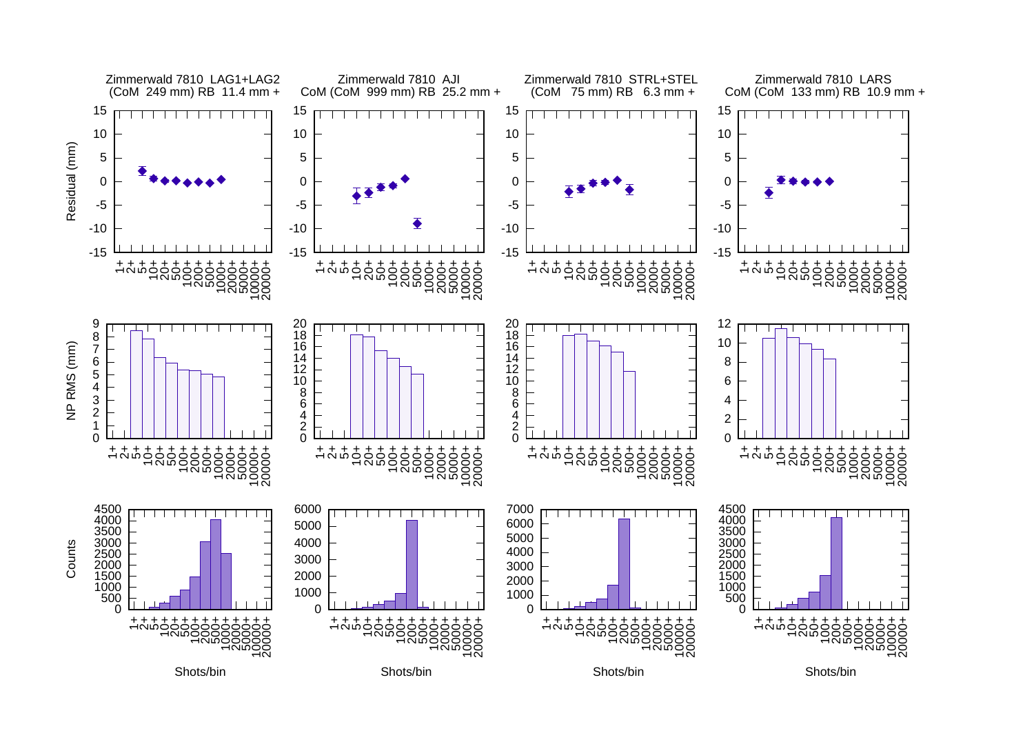![](_page_20_Figure_0.jpeg)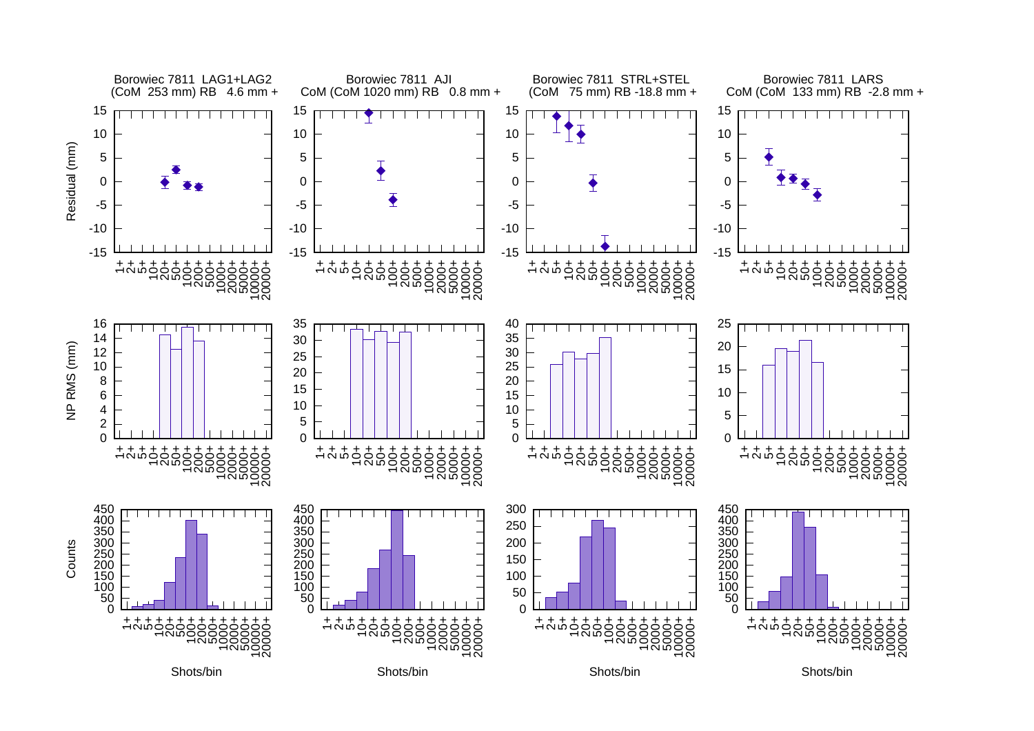![](_page_21_Figure_0.jpeg)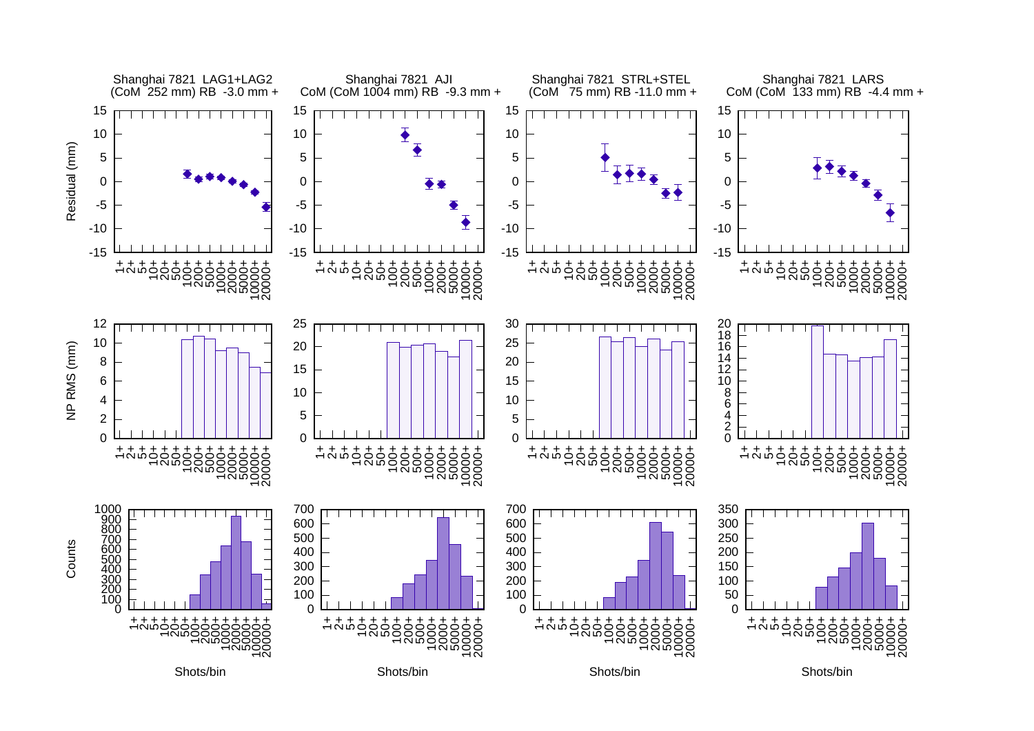![](_page_22_Figure_0.jpeg)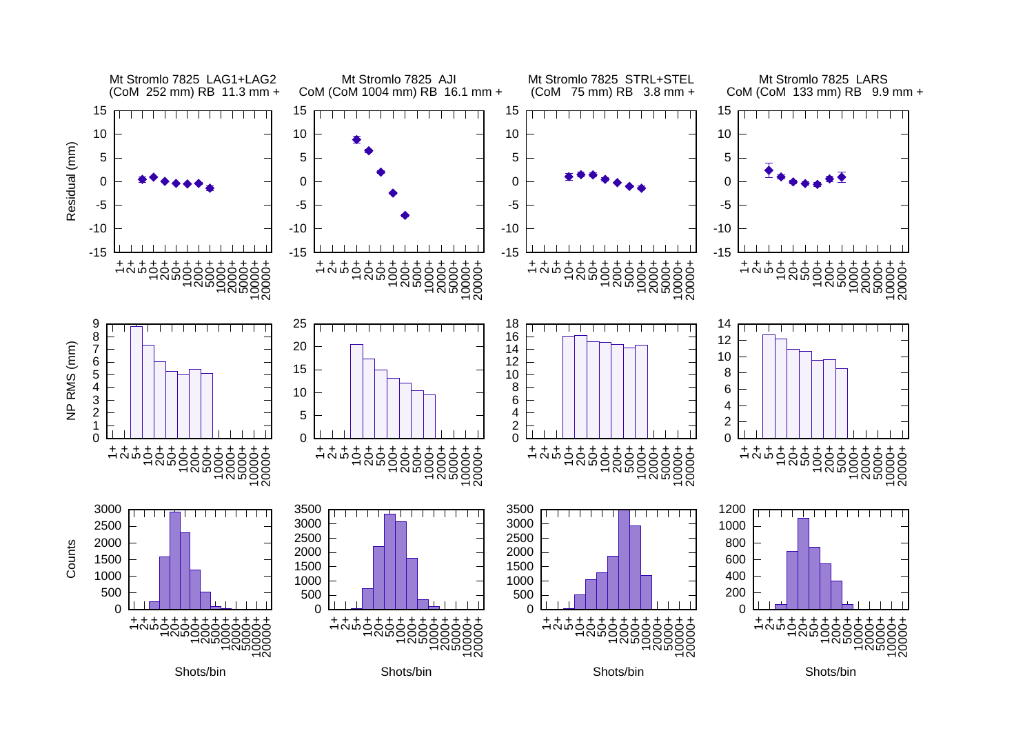![](_page_23_Figure_0.jpeg)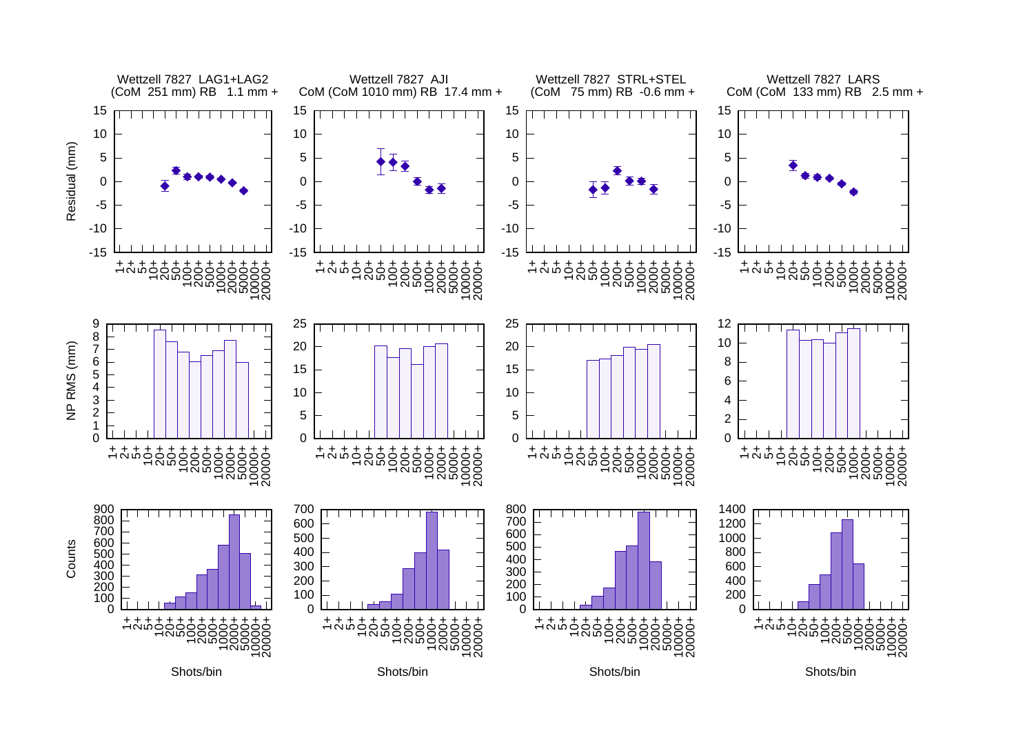![](_page_24_Figure_0.jpeg)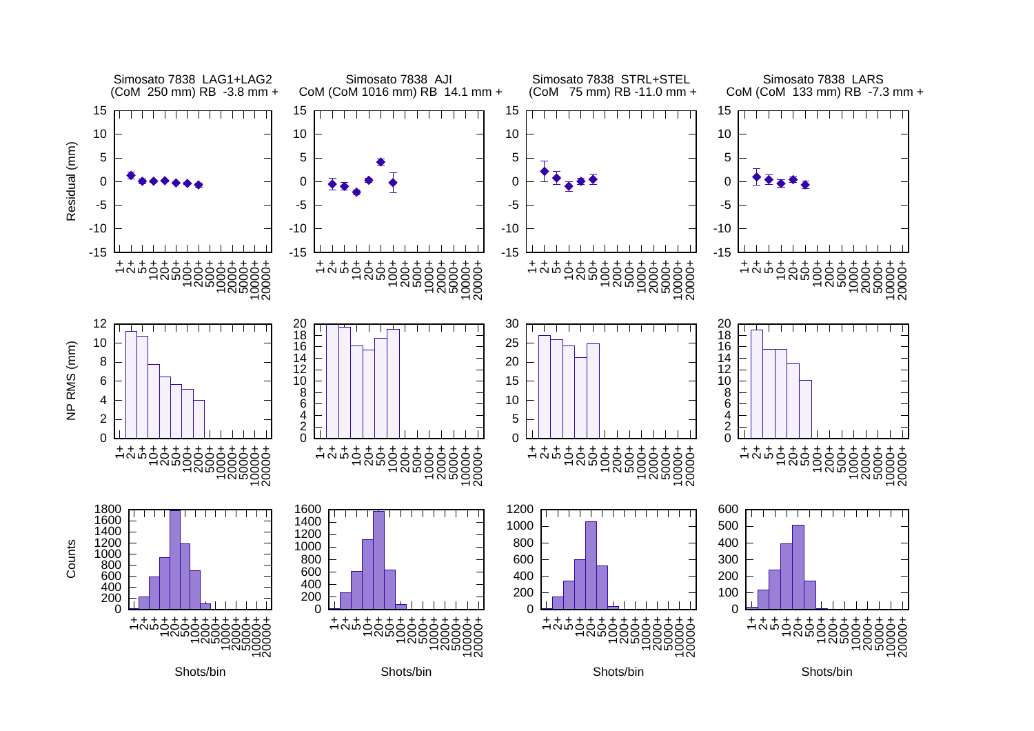![](_page_25_Figure_0.jpeg)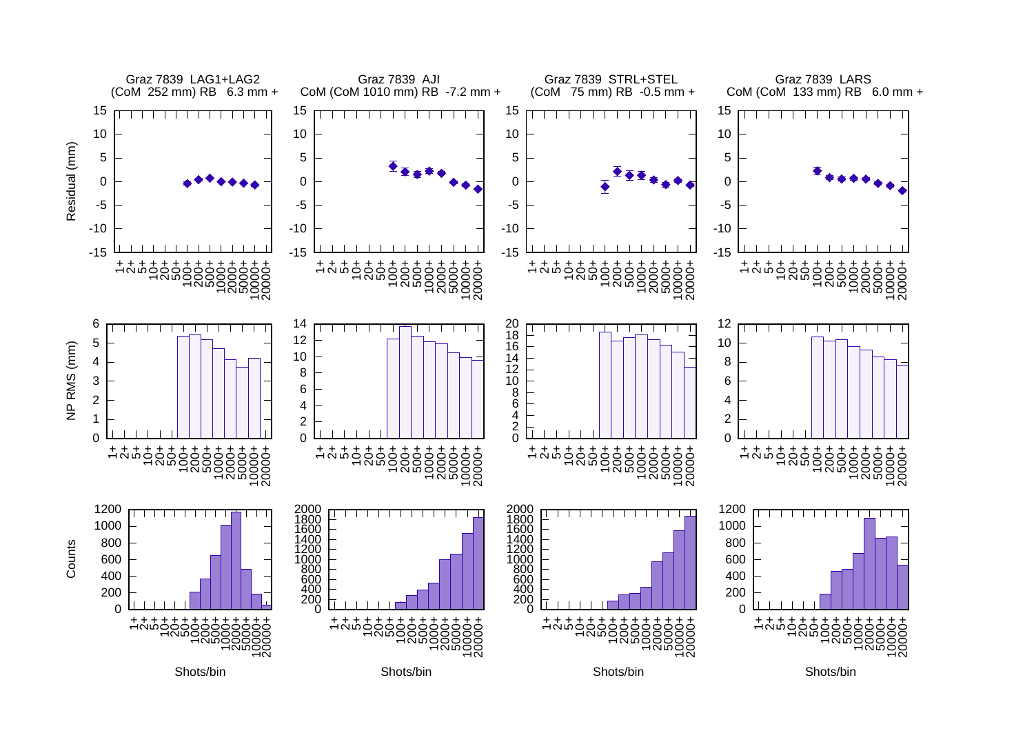![](_page_26_Figure_0.jpeg)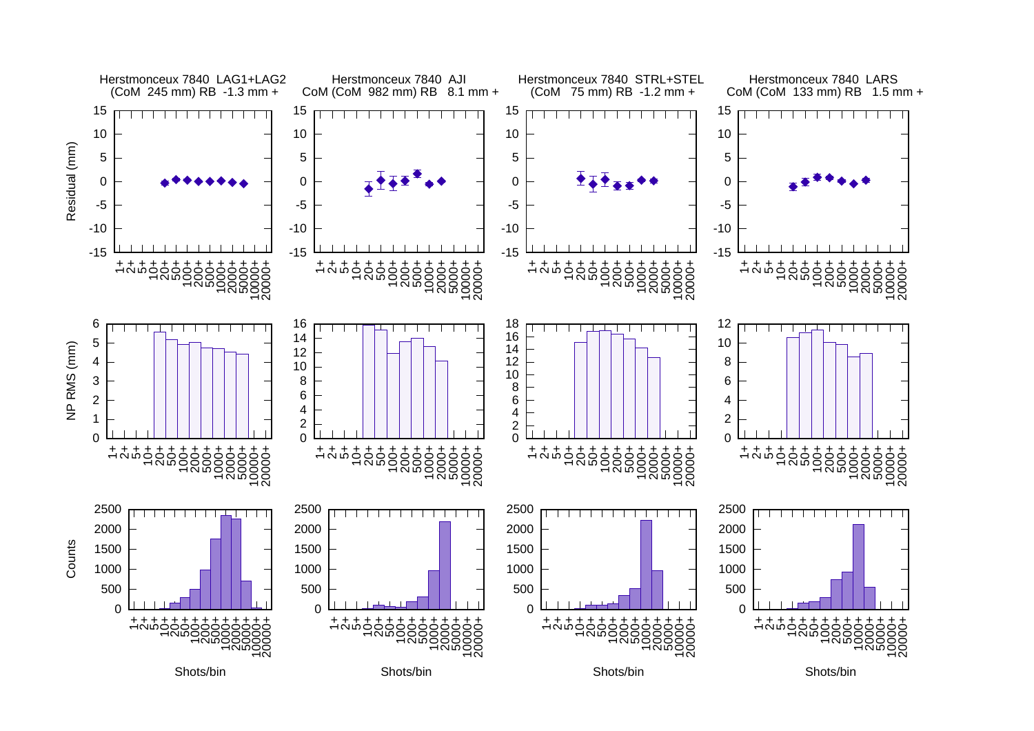![](_page_27_Figure_0.jpeg)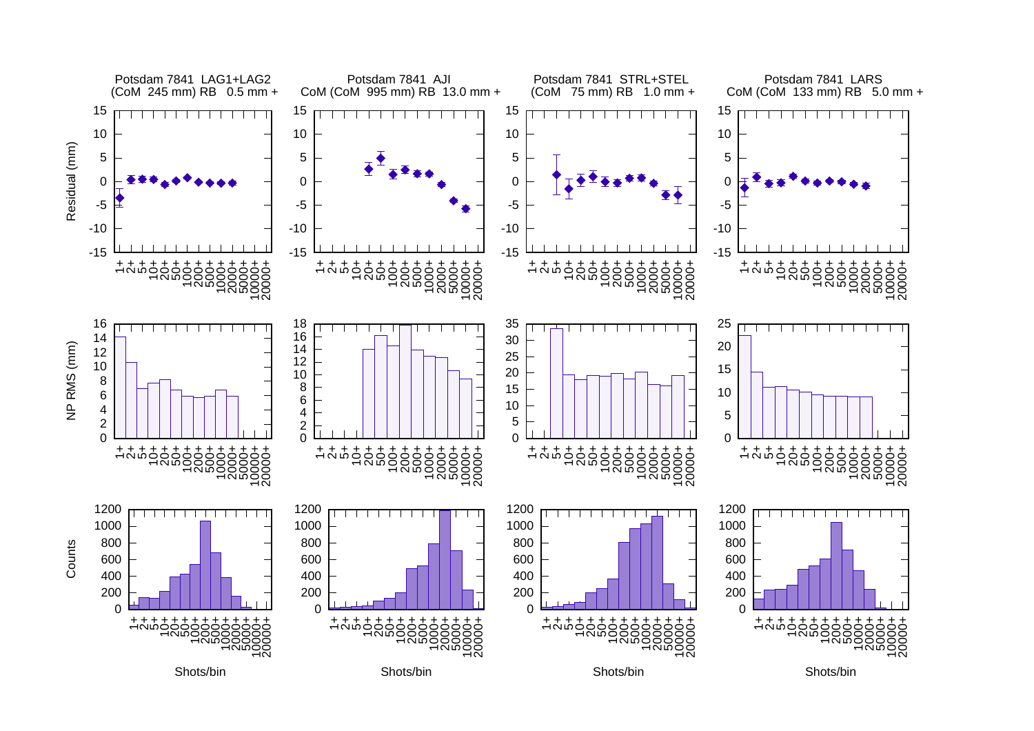![](_page_28_Figure_0.jpeg)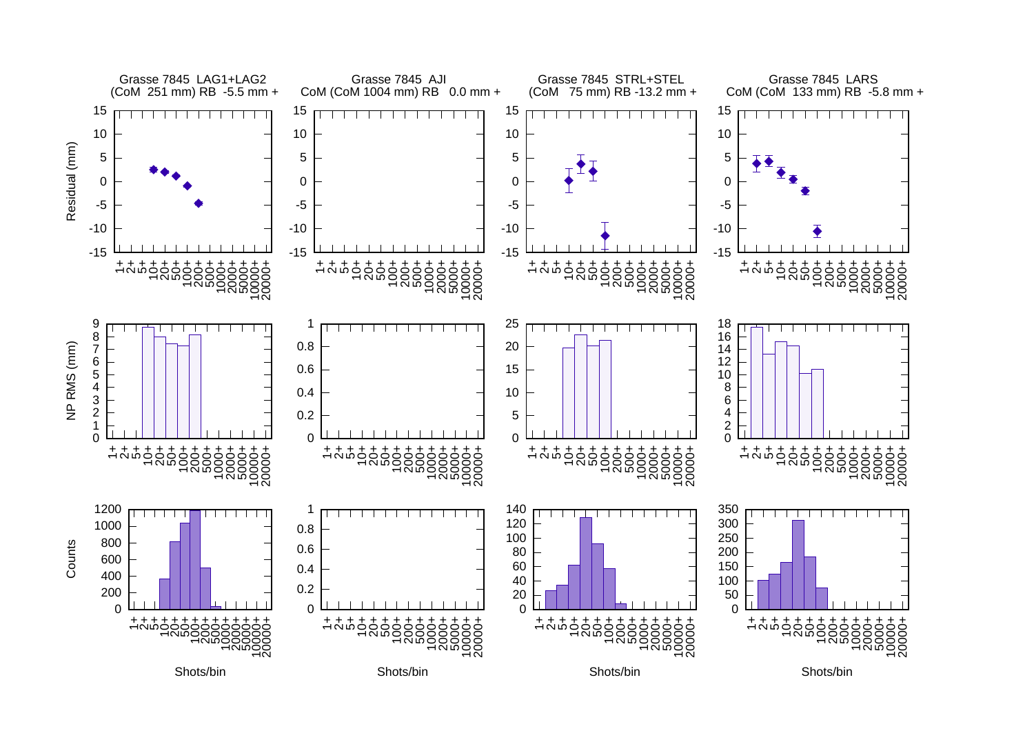![](_page_29_Figure_0.jpeg)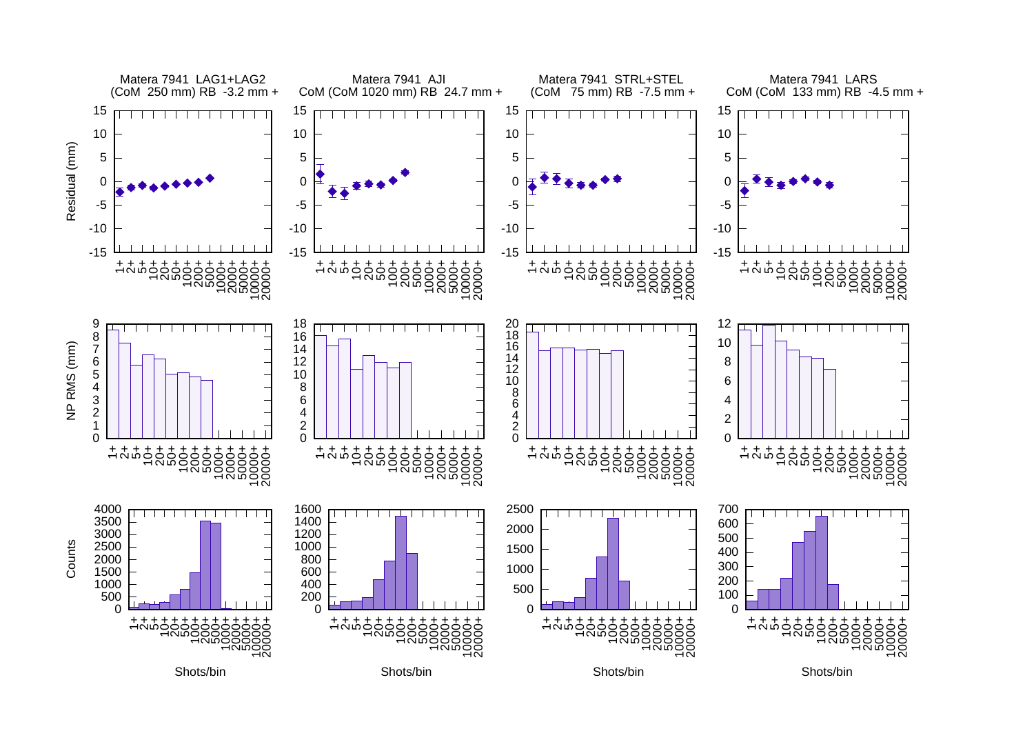![](_page_30_Figure_0.jpeg)